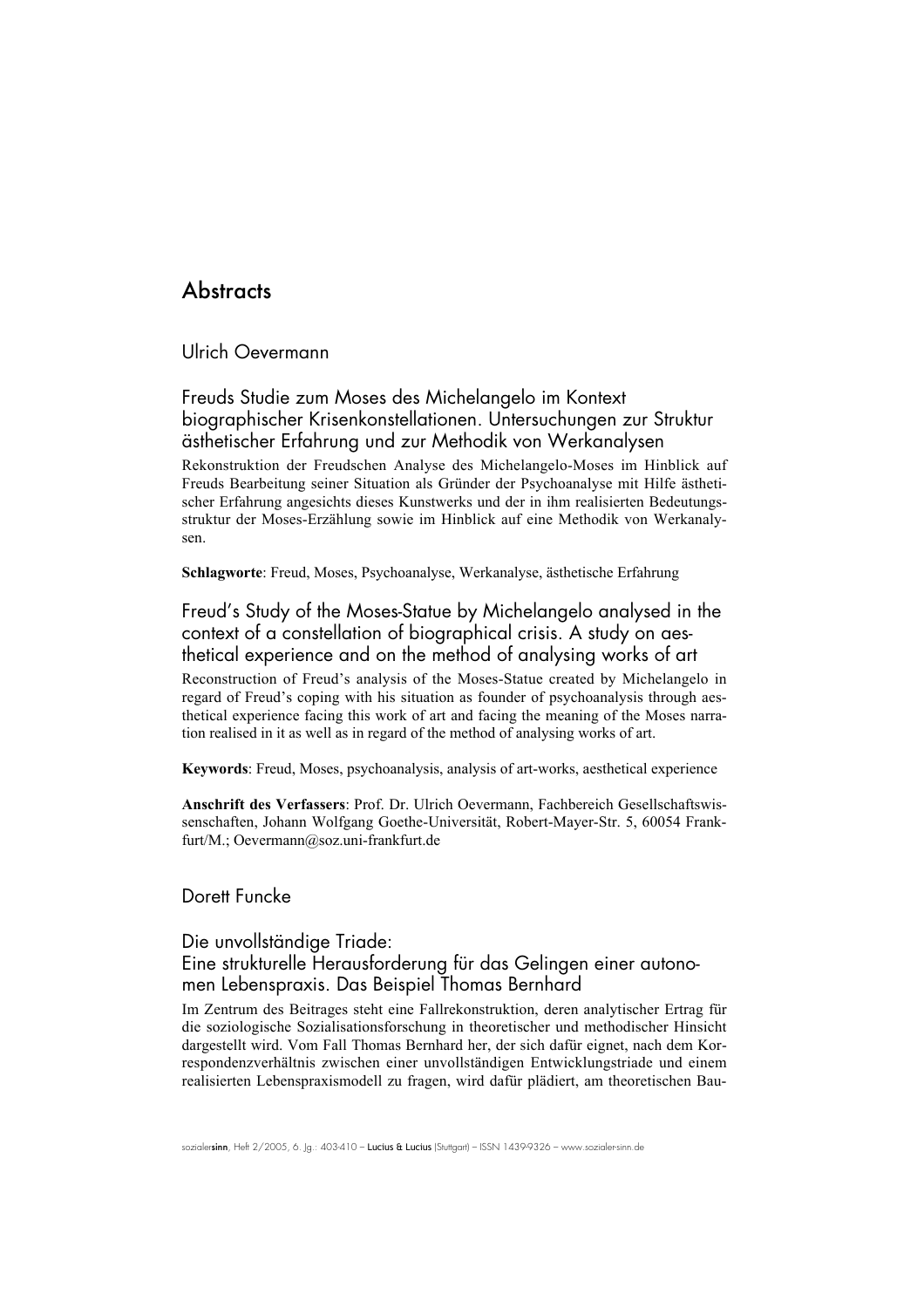# **Abstracts**

Ulrich Oevermann

Freuds Studie zum Moses des Michelangelo im Kontext biographischer Krisenkonstellationen. Untersuchungen zur Struktur ästhetischer Erfahrung und zur Methodik von Werkanalysen

Rekonstruktion der Freudschen Analyse des Michelangelo-Moses im Hinblick auf Freuds Bearbeitung seiner Situation als Gründer der Psychoanalyse mit Hilfe ästhetischer Erfahrung angesichts dieses Kunstwerks und der in ihm realisierten Bedeutungsstruktur der Moses-Erzählung sowie im Hinblick auf eine Methodik von Werkanalysen.

Schlagworte: Freud, Moses, Psychoanalyse, Werkanalyse, ästhetische Erfahrung

Freud's Study of the Moses-Statue by Michelangelo analysed in the context of a constellation of biographical crisis. A study on aesthetical experience and on the method of analysing works of art

Reconstruction of Freud's analysis of the Moses-Statue created by Michelangelo in regard of Freud's coping with his situation as founder of psychoanalysis through aesthetical experience facing this work of art and facing the meaning of the Moses narration realised in it as well as in regard of the method of analysing works of art.

Keywords: Freud, Moses, psychoanalysis, analysis of art-works, aesthetical experience

Anschrift des Verfassers: Prof. Dr. Ulrich Oevermann, Fachbereich Gesellschaftswissenschaften, Johann Wolfgang Goethe-Universität, Robert-Mayer-Str. 5, 60054 Frankfurt/M.; Oevermann@soz.uni-frankfurt.de

# Dorett Funcke

### Die unvollständige Triade:

### Eine strukturelle Herausforderung für das Gelingen einer autonomen Lebenspraxis. Das Beispiel Thomas Bernhard

Im Zentrum des Beitrages steht eine Fallrekonstruktion, deren analytischer Ertrag für die soziologische Sozialisationsforschung in theoretischer und methodischer Hinsicht dargestellt wird. Vom Fall Thomas Bernhard her, der sich dafür eignet, nach dem Korrespondenzverhältnis zwischen einer unvollständigen Entwicklungstriade und einem realisierten Lebenspraxismodell zu fragen, wird dafür plädiert, am theoretischen Bau-

sozialersinn, Heft 2/2005, 6. Jg.: 403-410 - Lucius & Lucius (Stuttgart) – ISSN 1439-9326 - www.sozialer-sinn.de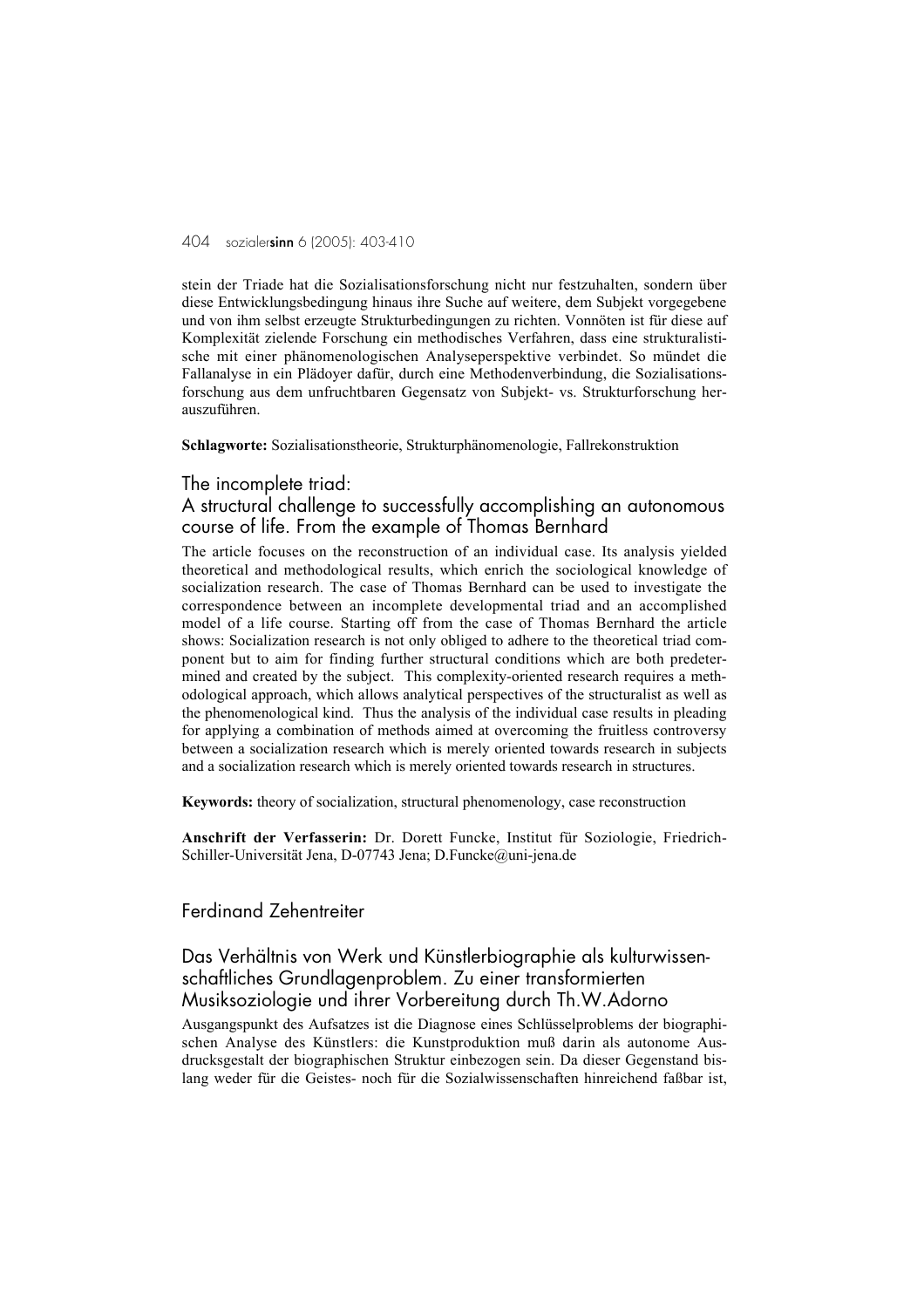stein der Triade hat die Sozialisationsforschung nicht nur festzuhalten, sondern über diese Entwicklungsbedingung hinaus ihre Suche auf weitere, dem Subjekt vorgegebene und von ihm selbst erzeugte Strukturbedingungen zu richten. Vonnöten ist für diese auf Komplexität zielende Forschung ein methodisches Verfahren, dass eine strukturalistische mit einer phänomenologischen Analyseperspektive verbindet. So mündet die Fallanalyse in ein Plädoyer dafür, durch eine Methodenverbindung, die Sozialisationsforschung aus dem unfruchtbaren Gegensatz von Subjekt- vs. Strukturforschung herauszuführen.

#### Schlagworte: Sozialisationstheorie, Strukturphänomenologie, Fallrekonstruktion

#### The incomplete triad:

### A structural challenge to successfully accomplishing an autonomous course of life. From the example of Thomas Bernhard

The article focuses on the reconstruction of an individual case. Its analysis yielded theoretical and methodological results, which enrich the sociological knowledge of socialization research. The case of Thomas Bernhard can be used to investigate the correspondence between an incomplete developmental triad and an accomplished model of a life course. Starting off from the case of Thomas Bernhard the article shows: Socialization research is not only obliged to adhere to the theoretical triad component but to aim for finding further structural conditions which are both predetermined and created by the subject. This complexity-oriented research requires a methodological approach, which allows analytical perspectives of the structuralist as well as the phenomenological kind. Thus the analysis of the individual case results in pleading for applying a combination of methods aimed at overcoming the fruitless controversy between a socialization research which is merely oriented towards research in subjects and a socialization research which is merely oriented towards research in structures.

Keywords: theory of socialization, structural phenomenology, case reconstruction

Anschrift der Verfasserin: Dr. Dorett Funcke, Institut für Soziologie, Friedrich-Schiller-Universität Jena, D-07743 Jena; D.Funcke@uni-jena.de

### Ferdinand Zehentreiter

# Das Verhältnis von Werk und Künstlerbiographie als kulturwissenschaftliches Grundlagenproblem. Zu einer transformierten Musiksoziologie und ihrer Vorbereitung durch Th.W.Adorno

Ausgangspunkt des Aufsatzes ist die Diagnose eines Schlüsselproblems der biographischen Analyse des Künstlers: die Kunstproduktion muß darin als autonome Ausdrucksgestalt der biographischen Struktur einbezogen sein. Da dieser Gegenstand bislang weder für die Geistes- noch für die Sozialwissenschaften hinreichend faßbar ist,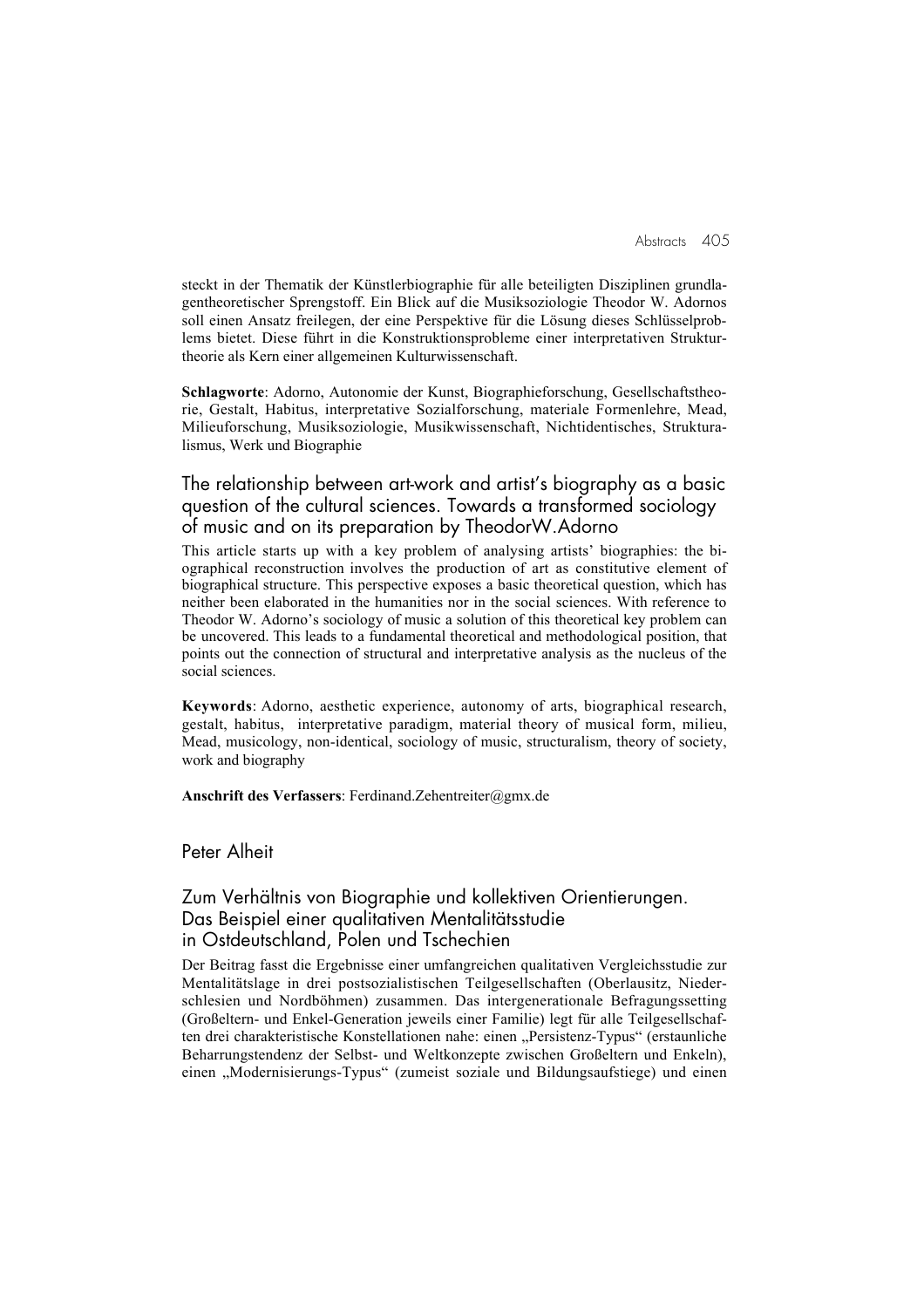steckt in der Thematik der Künstlerbiographie für alle beteiligten Disziplinen grundlagentheoretischer Sprengstoff. Ein Blick auf die Musiksoziologie Theodor W. Adornos soll einen Ansatz freilegen, der eine Perspektive für die Lösung dieses Schlüsselproblems bietet. Diese führt in die Konstruktionsprobleme einer interpretativen Strukturtheorie als Kern einer allgemeinen Kulturwissenschaft.

Schlagworte: Adorno, Autonomie der Kunst, Biographieforschung, Gesellschaftstheorie, Gestalt, Habitus, interpretative Sozialforschung, materiale Formenlehre, Mead, Milieuforschung, Musiksoziologie, Musikwissenschaft, Nichtidentisches, Strukturalismus, Werk und Biographie

# The relationship between art-work and artist's biography as a basic question of the cultural sciences. Towards a transformed sociology of music and on its preparation by TheodorW.Adorno

This article starts up with a key problem of analysing artists' biographies: the biographical reconstruction involves the production of art as constitutive element of biographical structure. This perspective exposes a basic theoretical question, which has neither been elaborated in the humanities nor in the social sciences. With reference to Theodor W. Adorno's sociology of music a solution of this theoretical key problem can be uncovered. This leads to a fundamental theoretical and methodological position, that points out the connection of structural and interpretative analysis as the nucleus of the social sciences.

Keywords: Adorno, aesthetic experience, autonomy of arts, biographical research, gestalt, habitus, interpretative paradigm, material theory of musical form, milieu, Mead, musicology, non-identical, sociology of music, structuralism, theory of society, work and biography

Anschrift des Verfassers: Ferdinand.Zehentreiter@gmx.de

Peter Alheit

# Zum Verhältnis von Biographie und kollektiven Orientierungen. Das Beispiel einer qualitativen Mentalitätsstudie in Ostdeutschland, Polen und Tschechien

Der Beitrag fasst die Ergebnisse einer umfangreichen qualitativen Vergleichsstudie zur Mentalitätslage in drei postsozialistischen Teilgesellschaften (Oberlausitz, Niederschlesien und Nordböhmen) zusammen. Das intergenerationale Befragungssetting (Großeltern- und Enkel-Generation jeweils einer Familie) legt für alle Teilgesellschaften drei charakteristische Konstellationen nahe: einen "Persistenz-Typus" (erstaunliche Beharrungstendenz der Selbst- und Weltkonzepte zwischen Großeltern und Enkeln), einen "Modernisierungs-Typus" (zumeist soziale und Bildungsaufstiege) und einen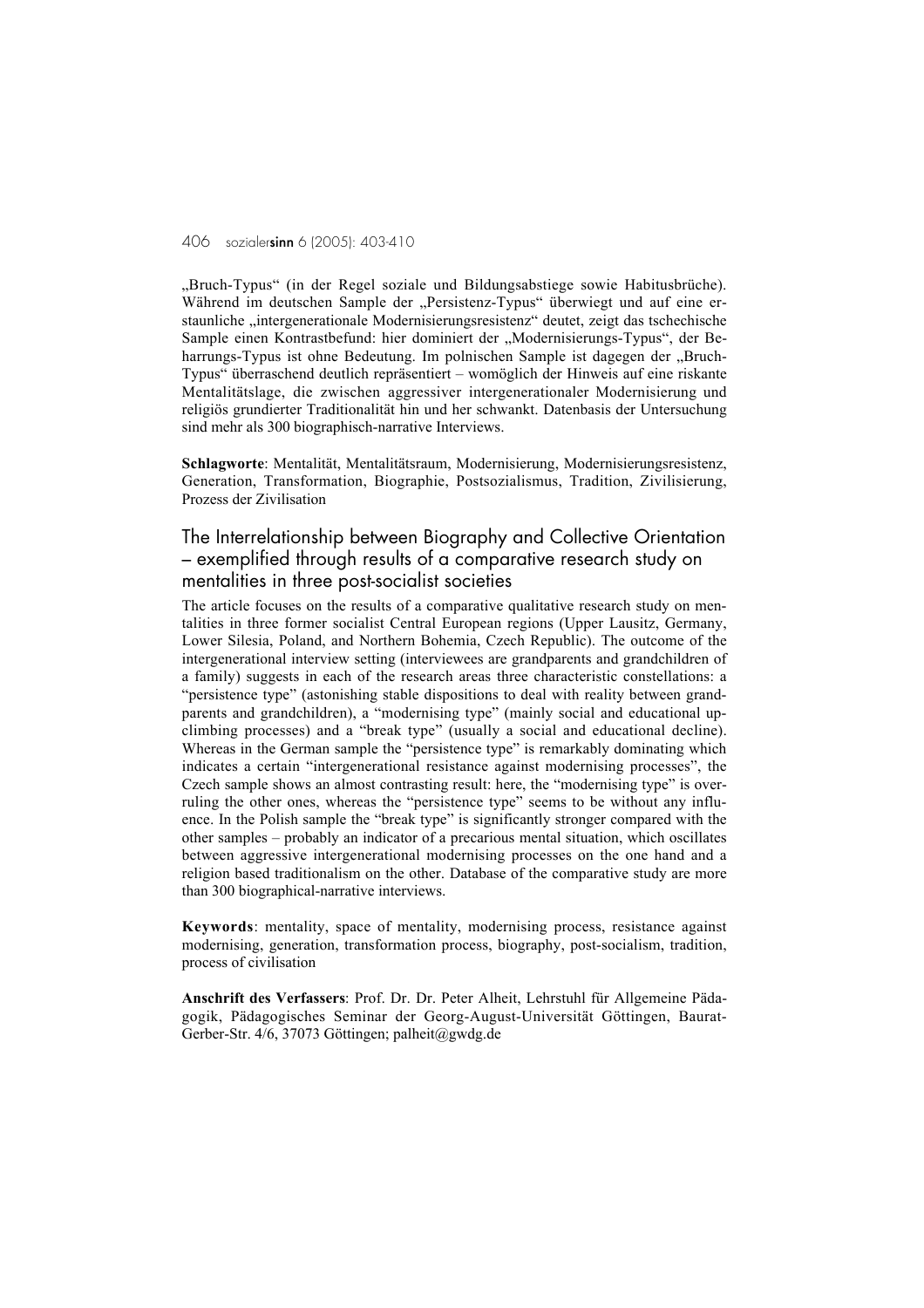"Bruch-Typus" (in der Regel soziale und Bildungsabstiege sowie Habitusbrüche). Während im deutschen Sample der "Persistenz-Typus" überwiegt und auf eine erstaunliche "intergenerationale Modernisierungsresistenz" deutet, zeigt das tschechische Sample einen Kontrastbefund: hier dominiert der "Modernisierungs-Typus", der Beharrungs-Typus ist ohne Bedeutung. Im polnischen Sample ist dagegen der "Bruch-Typus" überraschend deutlich repräsentiert – womöglich der Hinweis auf eine riskante Mentalitätslage, die zwischen aggressiver intergenerationaler Modernisierung und religiös grundierter Traditionalität hin und her schwankt. Datenbasis der Untersuchung sind mehr als 300 biographisch-narrative Interviews.

Schlagworte: Mentalität, Mentalitätsraum, Modernisierung, Modernisierungsresistenz, Generation, Transformation, Biographie, Postsozialismus, Tradition, Zivilisierung, Prozess der Zivilisation

The Interrelationship between Biography and Collective Orientation – exemplified through results of a comparative research study on mentalities in three post-socialist societies

The article focuses on the results of a comparative qualitative research study on mentalities in three former socialist Central European regions (Upper Lausitz, Germany, Lower Silesia, Poland, and Northern Bohemia, Czech Republic). The outcome of the intergenerational interview setting (interviewees are grandparents and grandchildren of a family) suggests in each of the research areas three characteristic constellations: a "persistence type" (astonishing stable dispositions to deal with reality between grandparents and grandchildren), a "modernising type" (mainly social and educational upclimbing processes) and a "break type" (usually a social and educational decline). Whereas in the German sample the "persistence type" is remarkably dominating which indicates a certain "intergenerational resistance against modernising processes", the Czech sample shows an almost contrasting result: here, the "modernising type" is overruling the other ones, whereas the "persistence type" seems to be without any influence. In the Polish sample the "break type" is significantly stronger compared with the other samples – probably an indicator of a precarious mental situation, which oscillates between aggressive intergenerational modernising processes on the one hand and a religion based traditionalism on the other. Database of the comparative study are more than 300 biographical-narrative interviews.

Keywords: mentality, space of mentality, modernising process, resistance against modernising, generation, transformation process, biography, post-socialism, tradition, process of civilisation

Anschrift des Verfassers: Prof. Dr. Dr. Peter Alheit, Lehrstuhl für Allgemeine Pädagogik, Pädagogisches Seminar der Georg-August-Universität Göttingen, Baurat-Gerber-Str. 4/6, 37073 Göttingen; palheit@gwdg.de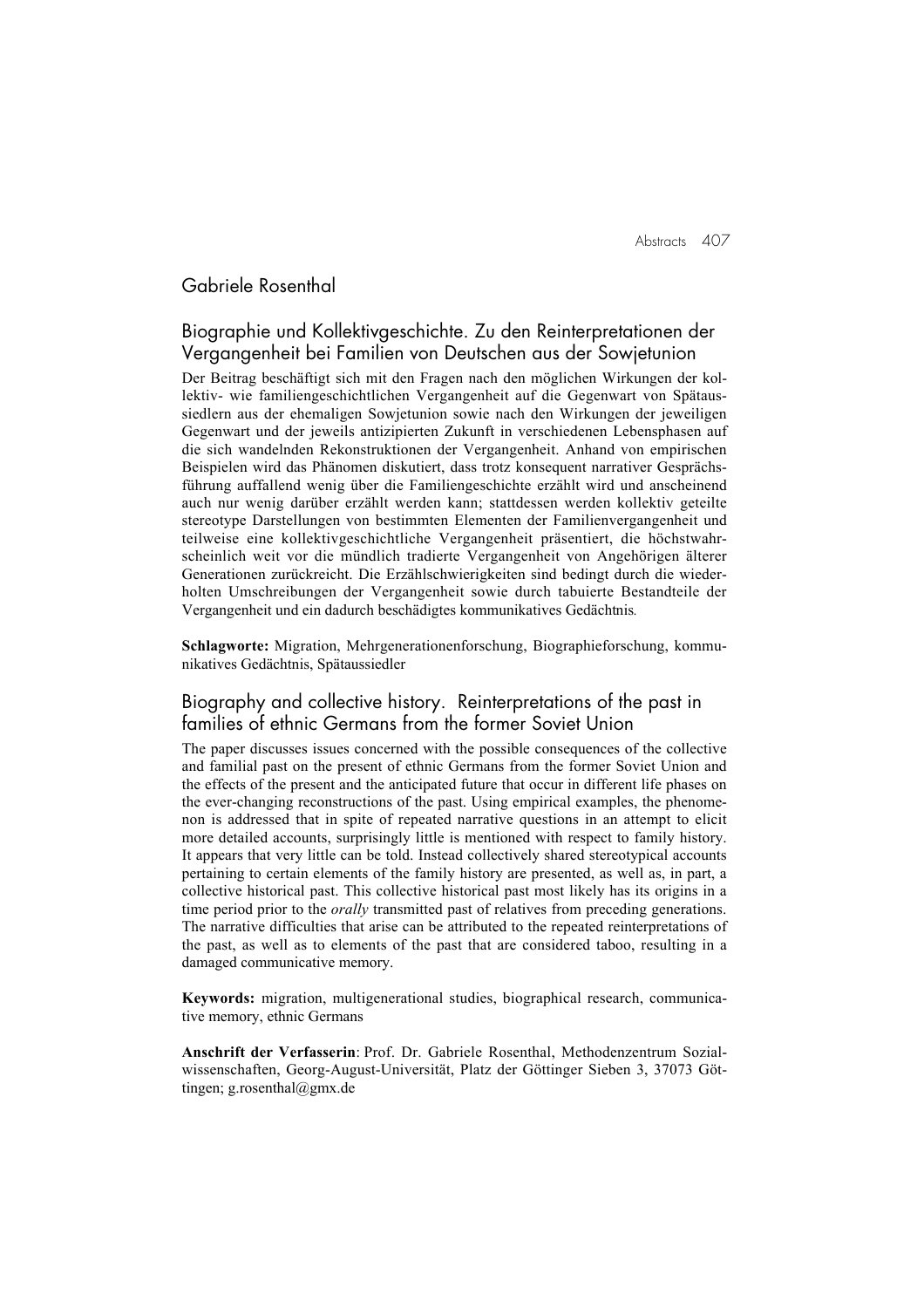Abstracts 407

# Gabriele Rosenthal

## Biographie und Kollektivgeschichte. Zu den Reinterpretationen der Vergangenheit bei Familien von Deutschen aus der Sowjetunion

Der Beitrag beschäftigt sich mit den Fragen nach den möglichen Wirkungen der kollektiv- wie familiengeschichtlichen Vergangenheit auf die Gegenwart von Spätaussiedlern aus der ehemaligen Sowjetunion sowie nach den Wirkungen der jeweiligen Gegenwart und der jeweils antizipierten Zukunft in verschiedenen Lebensphasen auf die sich wandelnden Rekonstruktionen der Vergangenheit. Anhand von empirischen Beispielen wird das Phänomen diskutiert, dass trotz konsequent narrativer Gesprächsführung auffallend wenig über die Familiengeschichte erzählt wird und anscheinend auch nur wenig darüber erzählt werden kann; stattdessen werden kollektiv geteilte stereotype Darstellungen von bestimmten Elementen der Familienvergangenheit und teilweise eine kollektivgeschichtliche Vergangenheit präsentiert, die höchstwahrscheinlich weit vor die mündlich tradierte Vergangenheit von Angehörigen älterer Generationen zurückreicht. Die Erzählschwierigkeiten sind bedingt durch die wiederholten Umschreibungen der Vergangenheit sowie durch tabuierte Bestandteile der Vergangenheit und ein dadurch beschädigtes kommunikatives Gedächtnis*.*

Schlagworte: Migration, Mehrgenerationenforschung, Biographieforschung, kommunikatives Gedächtnis, Spätaussiedler

### Biography and collective history. Reinterpretations of the past in families of ethnic Germans from the former Soviet Union

The paper discusses issues concerned with the possible consequences of the collective and familial past on the present of ethnic Germans from the former Soviet Union and the effects of the present and the anticipated future that occur in different life phases on the ever-changing reconstructions of the past. Using empirical examples, the phenomenon is addressed that in spite of repeated narrative questions in an attempt to elicit more detailed accounts, surprisingly little is mentioned with respect to family history. It appears that very little can be told. Instead collectively shared stereotypical accounts pertaining to certain elements of the family history are presented, as well as, in part, a collective historical past. This collective historical past most likely has its origins in a time period prior to the *orally* transmitted past of relatives from preceding generations. The narrative difficulties that arise can be attributed to the repeated reinterpretations of the past, as well as to elements of the past that are considered taboo, resulting in a damaged communicative memory.

Keywords: migration, multigenerational studies, biographical research, communicative memory, ethnic Germans

Anschrift der Verfasserin: Prof. Dr. Gabriele Rosenthal, Methodenzentrum Sozialwissenschaften, Georg-August-Universität, Platz der Göttinger Sieben 3, 37073 Göttingen; g.rosenthal@gmx.de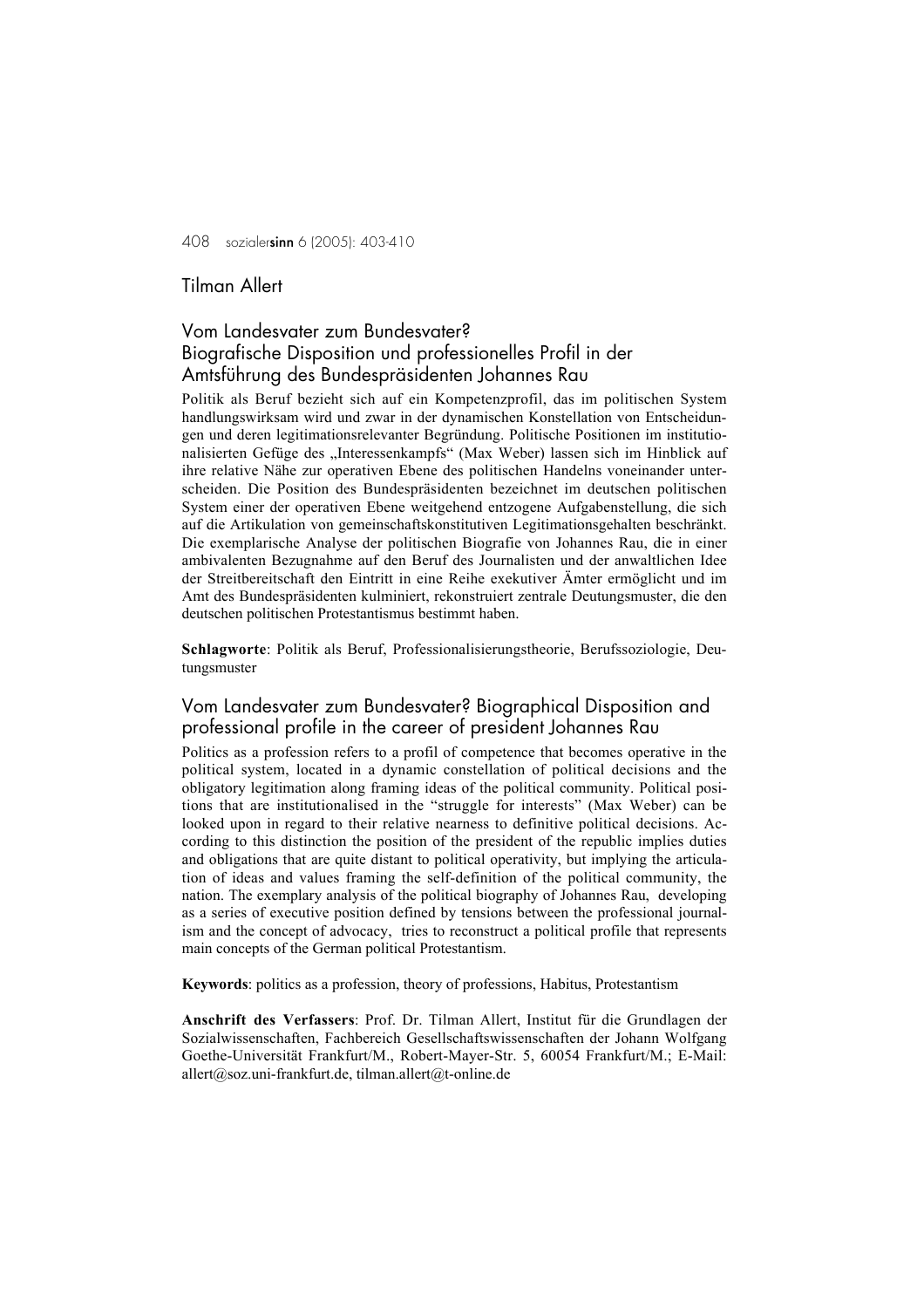## Tilman Allert

# Vom Landesvater zum Bundesvater? Biografische Disposition und professionelles Profil in der Amtsführung des Bundespräsidenten Johannes Rau

Politik als Beruf bezieht sich auf ein Kompetenzprofil, das im politischen System handlungswirksam wird und zwar in der dynamischen Konstellation von Entscheidungen und deren legitimationsrelevanter Begründung. Politische Positionen im institutionalisierten Gefüge des "Interessenkampfs" (Max Weber) lassen sich im Hinblick auf ihre relative Nähe zur operativen Ebene des politischen Handelns voneinander unterscheiden. Die Position des Bundespräsidenten bezeichnet im deutschen politischen System einer der operativen Ebene weitgehend entzogene Aufgabenstellung, die sich auf die Artikulation von gemeinschaftskonstitutiven Legitimationsgehalten beschränkt. Die exemplarische Analyse der politischen Biografie von Johannes Rau, die in einer ambivalenten Bezugnahme auf den Beruf des Journalisten und der anwaltlichen Idee der Streitbereitschaft den Eintritt in eine Reihe exekutiver Ämter ermöglicht und im Amt des Bundespräsidenten kulminiert, rekonstruiert zentrale Deutungsmuster, die den deutschen politischen Protestantismus bestimmt haben.

Schlagworte: Politik als Beruf, Professionalisierungstheorie, Berufssoziologie, Deutungsmuster

### Vom Landesvater zum Bundesvater? Biographical Disposition and professional profile in the career of president Johannes Rau

Politics as a profession refers to a profil of competence that becomes operative in the political system, located in a dynamic constellation of political decisions and the obligatory legitimation along framing ideas of the political community. Political positions that are institutionalised in the "struggle for interests" (Max Weber) can be looked upon in regard to their relative nearness to definitive political decisions. According to this distinction the position of the president of the republic implies duties and obligations that are quite distant to political operativity, but implying the articulation of ideas and values framing the self-definition of the political community, the nation. The exemplary analysis of the political biography of Johannes Rau, developing as a series of executive position defined by tensions between the professional journalism and the concept of advocacy, tries to reconstruct a political profile that represents main concepts of the German political Protestantism.

Keywords: politics as a profession, theory of professions, Habitus, Protestantism

Anschrift des Verfassers: Prof. Dr. Tilman Allert, Institut für die Grundlagen der Sozialwissenschaften, Fachbereich Gesellschaftswissenschaften der Johann Wolfgang Goethe-Universität Frankfurt/M., Robert-Mayer-Str. 5, 60054 Frankfurt/M.; E-Mail: allert@soz.uni-frankfurt.de, tilman.allert@t-online.de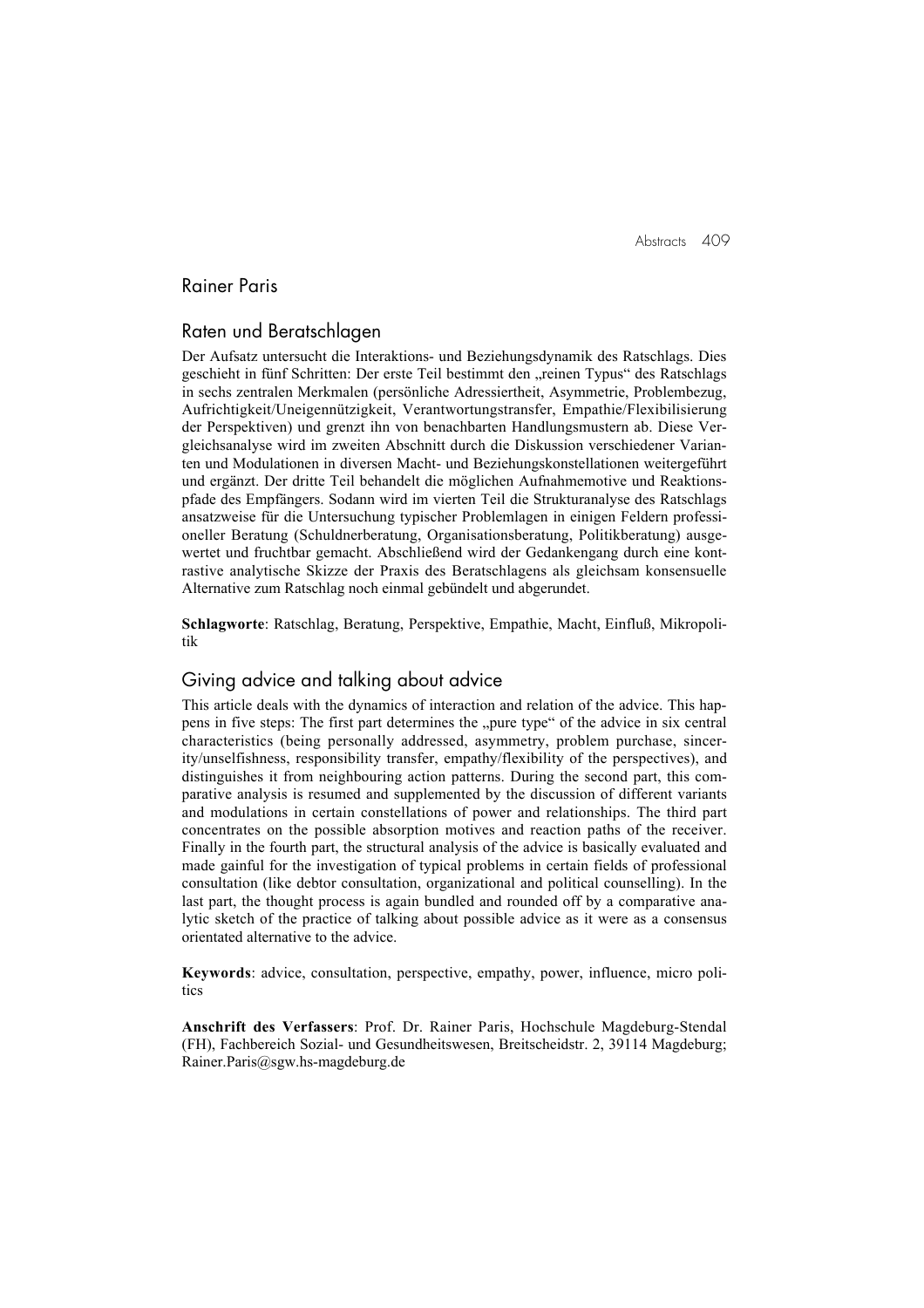Abstracts 409

# Rainer Paris

### Raten und Beratschlagen

Der Aufsatz untersucht die Interaktions- und Beziehungsdynamik des Ratschlags. Dies geschieht in fünf Schritten: Der erste Teil bestimmt den "reinen Typus" des Ratschlags in sechs zentralen Merkmalen (persönliche Adressiertheit, Asymmetrie, Problembezug, Aufrichtigkeit/Uneigennützigkeit, Verantwortungstransfer, Empathie/Flexibilisierung der Perspektiven) und grenzt ihn von benachbarten Handlungsmustern ab. Diese Vergleichsanalyse wird im zweiten Abschnitt durch die Diskussion verschiedener Varianten und Modulationen in diversen Macht- und Beziehungskonstellationen weitergeführt und ergänzt. Der dritte Teil behandelt die möglichen Aufnahmemotive und Reaktionspfade des Empfängers. Sodann wird im vierten Teil die Strukturanalyse des Ratschlags ansatzweise für die Untersuchung typischer Problemlagen in einigen Feldern professioneller Beratung (Schuldnerberatung, Organisationsberatung, Politikberatung) ausgewertet und fruchtbar gemacht. Abschließend wird der Gedankengang durch eine kontrastive analytische Skizze der Praxis des Beratschlagens als gleichsam konsensuelle Alternative zum Ratschlag noch einmal gebündelt und abgerundet.

Schlagworte: Ratschlag, Beratung, Perspektive, Empathie, Macht, Einfluß, Mikropolitik

### Giving advice and talking about advice

This article deals with the dynamics of interaction and relation of the advice. This happens in five steps: The first part determines the "pure type" of the advice in six central characteristics (being personally addressed, asymmetry, problem purchase, sincerity/unselfishness, responsibility transfer, empathy/flexibility of the perspectives), and distinguishes it from neighbouring action patterns. During the second part, this comparative analysis is resumed and supplemented by the discussion of different variants and modulations in certain constellations of power and relationships. The third part concentrates on the possible absorption motives and reaction paths of the receiver. Finally in the fourth part, the structural analysis of the advice is basically evaluated and made gainful for the investigation of typical problems in certain fields of professional consultation (like debtor consultation, organizational and political counselling). In the last part, the thought process is again bundled and rounded off by a comparative analytic sketch of the practice of talking about possible advice as it were as a consensus orientated alternative to the advice.

Keywords: advice, consultation, perspective, empathy, power, influence, micro politics

Anschrift des Verfassers: Prof. Dr. Rainer Paris, Hochschule Magdeburg-Stendal (FH), Fachbereich Sozial- und Gesundheitswesen, Breitscheidstr. 2, 39114 Magdeburg; Rainer.Paris@sgw.hs-magdeburg.de